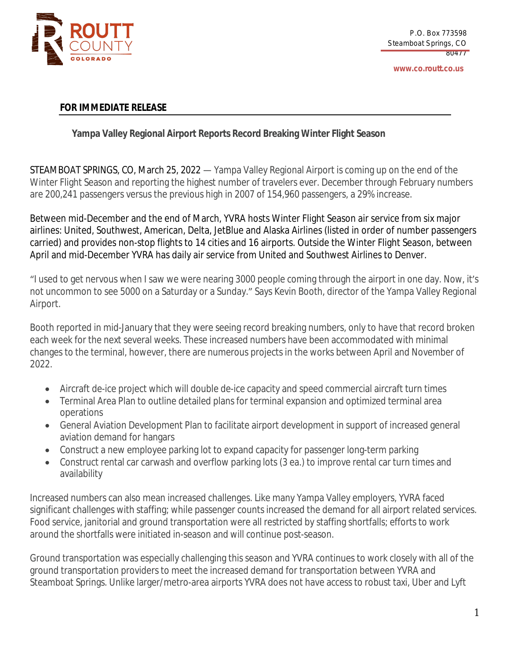

**www.co.routt.co.us**

## **FOR IMMEDIATE RELEASE**

## **Yampa Valley Regional Airport Reports Record Breaking Winter Flight Season**

STEAMBOAT SPRINGS, CO, March 25, 2022 — Yampa Valley Regional Airport is coming up on the end of the Winter Flight Season and reporting the highest number of travelers ever. December through February numbers are 200,241 passengers versus the previous high in 2007 of 154,960 passengers, a 29% increase.

Between mid-December and the end of March, YVRA hosts Winter Flight Season air service from six major airlines: United, Southwest, American, Delta, JetBlue and Alaska Airlines (listed in order of number passengers carried) and provides non-stop flights to 14 cities and 16 airports. Outside the Winter Flight Season, between April and mid-December YVRA has daily air service from United and Southwest Airlines to Denver.

"I used to get nervous when I saw we were nearing 3000 people coming through the airport in one day. Now, it's not uncommon to see 5000 on a Saturday or a Sunday." Says Kevin Booth, director of the Yampa Valley Regional Airport.

Booth reported in mid-January that they were seeing record breaking numbers, only to have that record broken each week for the next several weeks. These increased numbers have been accommodated with minimal changes to the terminal, however, there are numerous projects in the works between April and November of 2022.

- Aircraft de-ice project which will double de-ice capacity and speed commercial aircraft turn times
- Terminal Area Plan to outline detailed plans for terminal expansion and optimized terminal area operations
- General Aviation Development Plan to facilitate airport development in support of increased general aviation demand for hangars
- Construct a new employee parking lot to expand capacity for passenger long-term parking
- Construct rental car carwash and overflow parking lots (3 ea.) to improve rental car turn times and availability

Increased numbers can also mean increased challenges. Like many Yampa Valley employers, YVRA faced significant challenges with staffing; while passenger counts increased the demand for all airport related services. Food service, janitorial and ground transportation were all restricted by staffing shortfalls; efforts to work around the shortfalls were initiated in-season and will continue post-season.

Ground transportation was especially challenging this season and YVRA continues to work closely with all of the ground transportation providers to meet the increased demand for transportation between YVRA and Steamboat Springs. Unlike larger/metro-area airports YVRA does not have access to robust taxi, Uber and Lyft